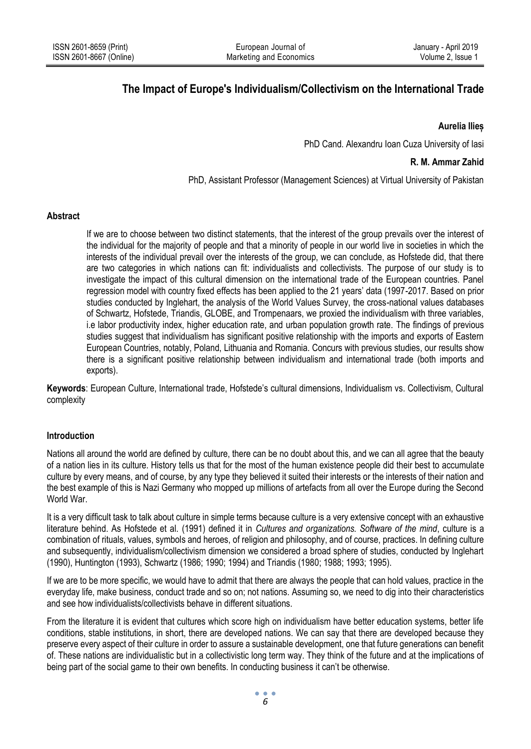# **The Impact of Europe's Individualism/Collectivism on the International Trade**

### **Aurelia Ilieș**

PhD Cand. Alexandru Ioan Cuza University of Iasi

# **R. M. Ammar Zahid**

PhD, Assistant Professor (Management Sciences) at Virtual University of Pakistan

## **Abstract**

If we are to choose between two distinct statements, that the interest of the group prevails over the interest of the individual for the majority of people and that a minority of people in our world live in societies in which the interests of the individual prevail over the interests of the group, we can conclude, as Hofstede did, that there are two categories in which nations can fit: individualists and collectivists. The purpose of our study is to investigate the impact of this cultural dimension on the international trade of the European countries. Panel regression model with country fixed effects has been applied to the 21 years' data (1997-2017. Based on prior studies conducted by Inglehart, the analysis of the World Values Survey, the cross-national values databases of Schwartz, Hofstede, Triandis, GLOBE, and Trompenaars, we proxied the individualism with three variables, i.e labor productivity index, higher education rate, and urban population growth rate. The findings of previous studies suggest that individualism has significant positive relationship with the imports and exports of Eastern European Countries, notably, Poland, Lithuania and Romania. Concurs with previous studies, our results show there is a significant positive relationship between individualism and international trade (both imports and exports).

**Keywords**: European Culture, International trade, Hofstede's cultural dimensions, Individualism vs. Collectivism, Cultural complexity

# **Introduction**

Nations all around the world are defined by culture, there can be no doubt about this, and we can all agree that the beauty of a nation lies in its culture. History tells us that for the most of the human existence people did their best to accumulate culture by every means, and of course, by any type they believed it suited their interests or the interests of their nation and the best example of this is Nazi Germany who mopped up millions of artefacts from all over the Europe during the Second World War.

It is a very difficult task to talk about culture in simple terms because culture is a very extensive concept with an exhaustive literature behind. As Hofstede et al. (1991) defined it in *Cultures and organizations. Software of the mind*, culture is a combination of rituals, values, symbols and heroes, of religion and philosophy, and of course, practices. In defining culture and subsequently, individualism/collectivism dimension we considered a broad sphere of studies, conducted by Inglehart (1990), Huntington (1993), Schwartz (1986; 1990; 1994) and Triandis (1980; 1988; 1993; 1995).

If we are to be more specific, we would have to admit that there are always the people that can hold values, practice in the everyday life, make business, conduct trade and so on; not nations. Assuming so, we need to dig into their characteristics and see how individualists/collectivists behave in different situations.

From the literature it is evident that cultures which score high on individualism have better education systems, better life conditions, stable institutions, in short, there are developed nations. We can say that there are developed because they preserve every aspect of their culture in order to assure a sustainable development, one that future generations can benefit of. These nations are individualistic but in a collectivistic long term way. They think of the future and at the implications of being part of the social game to their own benefits. In conducting business it can't be otherwise.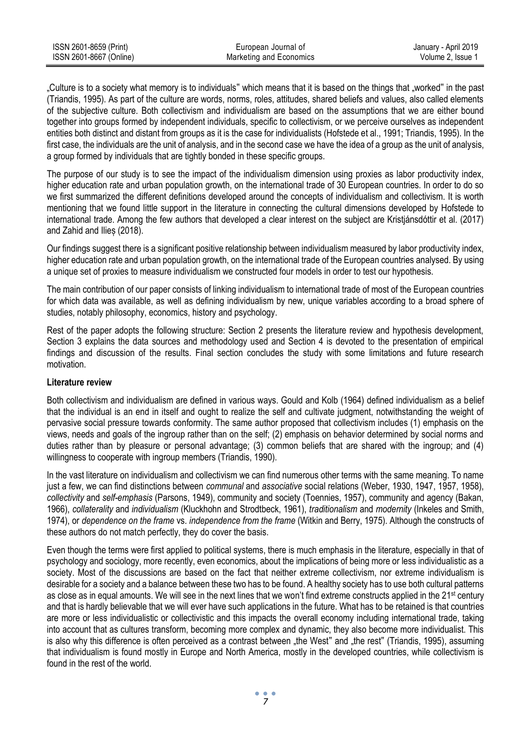| ISSN 2601-8659 (Print)  | European Journal of     | January - April 2019 |
|-------------------------|-------------------------|----------------------|
| ISSN 2601-8667 (Online) | Marketing and Economics | Volume 2. Issue 1    |

"Culture is to a society what memory is to individuals" which means that it is based on the things that "worked" in the past (Triandis, 1995). As part of the culture are words, norms, roles, attitudes, shared beliefs and values, also called elements of the subjective culture. Both collectivism and individualism are based on the assumptions that we are either bound together into groups formed by independent individuals, specific to collectivism, or we perceive ourselves as independent entities both distinct and distant from groups as it is the case for individualists (Hofstede et al., 1991; Triandis, 1995). In the first case, the individuals are the unit of analysis, and in the second case we have the idea of a group as the unit of analysis, a group formed by individuals that are tightly bonded in these specific groups.

The purpose of our study is to see the impact of the individualism dimension using proxies as labor productivity index, higher education rate and urban population growth, on the international trade of 30 European countries. In order to do so we first summarized the different definitions developed around the concepts of individualism and collectivism. It is worth mentioning that we found little support in the literature in connecting the cultural dimensions developed by Hofstede to international trade. Among the few authors that developed a clear interest on the subject are Kristjánsdóttir et al. (2017) and Zahid and Ilieș (2018).

Our findings suggest there is a significant positive relationship between individualism measured by labor productivity index, higher education rate and urban population growth, on the international trade of the European countries analysed. By using a unique set of proxies to measure individualism we constructed four models in order to test our hypothesis.

The main contribution of our paper consists of linking individualism to international trade of most of the European countries for which data was available, as well as defining individualism by new, unique variables according to a broad sphere of studies, notably philosophy, economics, history and psychology.

Rest of the paper adopts the following structure: Section 2 presents the literature review and hypothesis development, Section 3 explains the data sources and methodology used and Section 4 is devoted to the presentation of empirical findings and discussion of the results. Final section concludes the study with some limitations and future research motivation.

### **Literature review**

Both collectivism and individualism are defined in various ways. Gould and Kolb (1964) defined individualism as a belief that the individual is an end in itself and ought to realize the self and cultivate judgment, notwithstanding the weight of pervasive social pressure towards conformity. The same author proposed that collectivism includes (1) emphasis on the views, needs and goals of the ingroup rather than on the self; (2) emphasis on behavior determined by social norms and duties rather than by pleasure or personal advantage; (3) common beliefs that are shared with the ingroup; and (4) willingness to cooperate with ingroup members (Triandis, 1990).

In the vast literature on individualism and collectivism we can find numerous other terms with the same meaning. To name just a few, we can find distinctions between *communal* and *associative* social relations (Weber, 1930, 1947, 1957, 1958), *collectivity* and *self-emphasis* (Parsons, 1949), community and society (Toennies, 1957), community and agency (Bakan, 1966), *collaterality* and *individualism* (Kluckhohn and Strodtbeck, 1961), *traditionalism* and *modernity* (Inkeles and Smith, 1974), or *dependence on the frame* vs. *independence from the frame* (Witkin and Berry, 1975). Although the constructs of these authors do not match perfectly, they do cover the basis.

Even though the terms were first applied to political systems, there is much emphasis in the literature, especially in that of psychology and sociology, more recently, even economics, about the implications of being more or less individualistic as a society. Most of the discussions are based on the fact that neither extreme collectivism, nor extreme individualism is desirable for a society and a balance between these two has to be found. A healthy society has to use both cultural patterns as close as in equal amounts. We will see in the next lines that we won't find extreme constructs applied in the 21<sup>st</sup> century and that is hardly believable that we will ever have such applications in the future. What has to be retained is that countries are more or less individualistic or collectivistic and this impacts the overall economy including international trade, taking into account that as cultures transform, becoming more complex and dynamic, they also become more individualist. This is also why this difference is often perceived as a contrast between "the West" and "the rest" (Triandis, 1995), assuming that individualism is found mostly in Europe and North America, mostly in the developed countries, while collectivism is found in the rest of the world.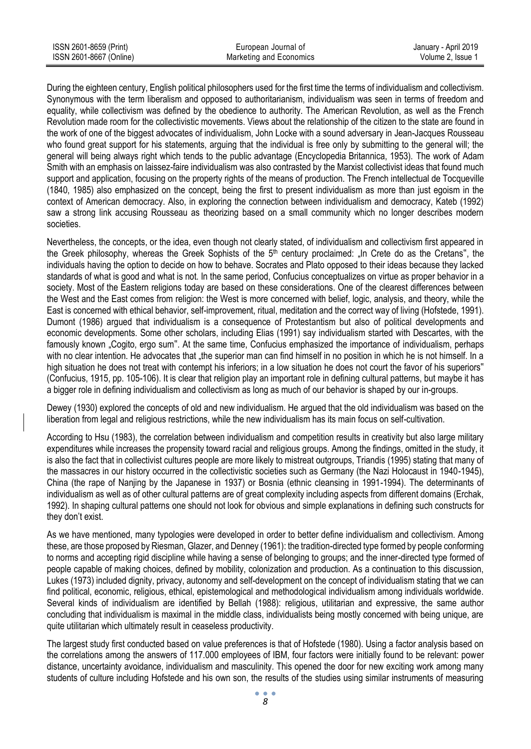| ISSN 2601-8659 (Print)  | European Journal of     | January - April 2019 |
|-------------------------|-------------------------|----------------------|
| ISSN 2601-8667 (Online) | Marketing and Economics | Volume 2. Issue 1    |

During the eighteen century, English political philosophers used for the first time the terms of individualism and collectivism. Synonymous with the term liberalism and opposed to authoritarianism, individualism was seen in terms of freedom and equality, while collectivism was defined by the obedience to authority. The American Revolution, as well as the French Revolution made room for the collectivistic movements. Views about the relationship of the citizen to the state are found in the work of one of the biggest advocates of individualism, John Locke with a sound adversary in Jean-Jacques Rousseau who found great support for his statements, arguing that the individual is free only by submitting to the general will; the general will being always right which tends to the public advantage (Encyclopedia Britannica, 1953). The work of Adam Smith with an emphasis on laissez-faire individualism was also contrasted by the Marxist collectivist ideas that found much support and application, focusing on the property rights of the means of production. The French intellectual de Tocqueville (1840, 1985) also emphasized on the concept, being the first to present individualism as more than just egoism in the context of American democracy. Also, in exploring the connection between individualism and democracy, Kateb (1992) saw a strong link accusing Rousseau as theorizing based on a small community which no longer describes modern societies.

Nevertheless, the concepts, or the idea, even though not clearly stated, of individualism and collectivism first appeared in the Greek philosophy, whereas the Greek Sophists of the  $5<sup>th</sup>$  century proclaimed: "In Crete do as the Cretans", the individuals having the option to decide on how to behave. Socrates and Plato opposed to their ideas because they lacked standards of what is good and what is not. In the same period, Confucius conceptualizes on virtue as proper behavior in a society. Most of the Eastern religions today are based on these considerations. One of the clearest differences between the West and the East comes from religion: the West is more concerned with belief, logic, analysis, and theory, while the East is concerned with ethical behavior, self-improvement, ritual, meditation and the correct way of living (Hofstede, 1991). Dumont (1986) argued that individualism is a consequence of Protestantism but also of political developments and economic developments. Some other scholars, including Elias (1991) say individualism started with Descartes, with the famously known "Cogito, ergo sum". At the same time, Confucius emphasized the importance of individualism, perhaps with no clear intention. He advocates that the superior man can find himself in no position in which he is not himself. In a high situation he does not treat with contempt his inferiors; in a low situation he does not court the favor of his superiors" (Confucius, 1915, pp. 105-106). It is clear that religion play an important role in defining cultural patterns, but maybe it has a bigger role in defining individualism and collectivism as long as much of our behavior is shaped by our in-groups.

Dewey (1930) explored the concepts of old and new individualism. He argued that the old individualism was based on the liberation from legal and religious restrictions, while the new individualism has its main focus on self-cultivation.

According to Hsu (1983), the correlation between individualism and competition results in creativity but also large military expenditures while increases the propensity toward racial and religious groups. Among the findings, omitted in the study, it is also the fact that in collectivist cultures people are more likely to mistreat outgroups, Triandis (1995) stating that many of the massacres in our history occurred in the collectivistic societies such as Germany (the Nazi Holocaust in 1940-1945), China (the rape of Nanjing by the Japanese in 1937) or Bosnia (ethnic cleansing in 1991-1994). The determinants of individualism as well as of other cultural patterns are of great complexity including aspects from different domains (Erchak, 1992). In shaping cultural patterns one should not look for obvious and simple explanations in defining such constructs for they don't exist.

As we have mentioned, many typologies were developed in order to better define individualism and collectivism. Among these, are those proposed by Riesman, Glazer, and Denney (1961): the tradition-directed type formed by people conforming to norms and accepting rigid discipline while having a sense of belonging to groups; and the inner-directed type formed of people capable of making choices, defined by mobility, colonization and production. As a continuation to this discussion, Lukes (1973) included dignity, privacy, autonomy and self-development on the concept of individualism stating that we can find political, economic, religious, ethical, epistemological and methodological individualism among individuals worldwide. Several kinds of individualism are identified by Bellah (1988): religious, utilitarian and expressive, the same author concluding that individualism is maximal in the middle class, individualists being mostly concerned with being unique, are quite utilitarian which ultimately result in ceaseless productivity.

The largest study first conducted based on value preferences is that of Hofstede (1980). Using a factor analysis based on the correlations among the answers of 117.000 employees of IBM, four factors were initially found to be relevant: power distance, uncertainty avoidance, individualism and masculinity. This opened the door for new exciting work among many students of culture including Hofstede and his own son, the results of the studies using similar instruments of measuring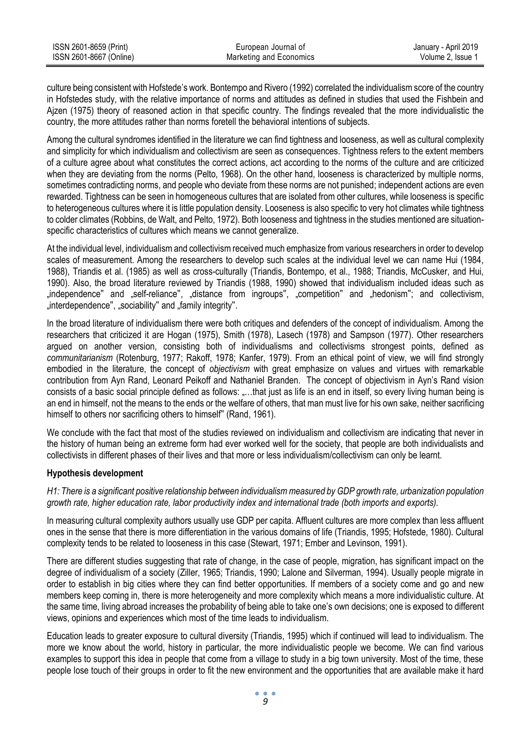| ISSN 2601-8659 (Print)  | European Journal of     | January - April 2019 |
|-------------------------|-------------------------|----------------------|
| ISSN 2601-8667 (Online) | Marketing and Economics | Volume 2. Issue 1    |

culture being consistent with Hofstede's work. Bontempo and Rivero (1992) correlated the individualism score of the country in Hofstedes study, with the relative importance of norms and attitudes as defined in studies that used the Fishbein and Ajzen (1975) theory of reasoned action in that specific country. The findings revealed that the more individualistic the country, the more attitudes rather than norms foretell the behavioral intentions of subjects.

Among the cultural syndromes identified in the literature we can find tightness and looseness, as well as cultural complexity and simplicity for which individualism and collectivism are seen as consequences. Tightness refers to the extent members of a culture agree about what constitutes the correct actions, act according to the norms of the culture and are criticized when they are deviating from the norms (Pelto, 1968). On the other hand, looseness is characterized by multiple norms, sometimes contradicting norms, and people who deviate from these norms are not punished; independent actions are even rewarded. Tightness can be seen in homogeneous cultures that are isolated from other cultures, while looseness is specific to heterogeneous cultures where it is little population density. Looseness is also specific to very hot climates while tightness to colder climates (Robbins, de Walt, and Pelto, 1972). Both looseness and tightness in the studies mentioned are situationspecific characteristics of cultures which means we cannot generalize.

At the individual level, individualism and collectivism received much emphasize from various researchers in order to develop scales of measurement. Among the researchers to develop such scales at the individual level we can name Hui (1984, 1988), Triandis et al. (1985) as well as cross-culturally (Triandis, Bontempo, et al., 1988; Triandis, McCusker, and Hui, 1990). Also, the broad literature reviewed by Triandis (1988, 1990) showed that individualism included ideas such as "independence" and "self-reliance", "distance from ingroups", "competition" and "hedonism"; and collectivism, "interdependence", "sociability" and "family integrity".

In the broad literature of individualism there were both critiques and defenders of the concept of individualism. Among the researchers that criticized it are Hogan (1975), Smith (1978), Lasech (1978) and Sampson (1977). Other researchers argued on another version, consisting both of individualisms and collectivisms strongest points, defined as *communitarianism* (Rotenburg, 1977; Rakoff, 1978; Kanfer, 1979). From an ethical point of view, we will find strongly embodied in the literature, the concept of *objectivism* with great emphasize on values and virtues with remarkable contribution from Ayn Rand, Leonard Peikoff and Nathaniel Branden. The concept of objectivism in Ayn's Rand vision consists of a basic social principle defined as follows: .....that just as life is an end in itself, so every living human being is an end in himself, not the means to the ends or the welfare of others, that man must live for his own sake, neither sacrificing himself to others nor sacrificing others to himself" (Rand, 1961).

We conclude with the fact that most of the studies reviewed on individualism and collectivism are indicating that never in the history of human being an extreme form had ever worked well for the society, that people are both individualists and collectivists in different phases of their lives and that more or less individualism/collectivism can only be learnt.

#### **Hypothesis development**

*H1: There is a significant positive relationship between individualism measured by GDP growth rate, urbanization population growth rate, higher education rate, labor productivity index and international trade (both imports and exports).*

In measuring cultural complexity authors usually use GDP per capita. Affluent cultures are more complex than less affluent ones in the sense that there is more differentiation in the various domains of life (Triandis, 1995; Hofstede, 1980). Cultural complexity tends to be related to looseness in this case (Stewart, 1971; Ember and Levinson, 1991).

There are different studies suggesting that rate of change, in the case of people, migration, has significant impact on the degree of individualism of a society (Ziller, 1965; Triandis, 1990; Lalone and Silverman, 1994). Usually people migrate in order to establish in big cities where they can find better opportunities. If members of a society come and go and new members keep coming in, there is more heterogeneity and more complexity which means a more individualistic culture. At the same time, living abroad increases the probability of being able to take one's own decisions; one is exposed to different views, opinions and experiences which most of the time leads to individualism.

Education leads to greater exposure to cultural diversity (Triandis, 1995) which if continued will lead to individualism. The more we know about the world, history in particular, the more individualistic people we become. We can find various examples to support this idea in people that come from a village to study in a big town university. Most of the time, these people lose touch of their groups in order to fit the new environment and the opportunities that are available make it hard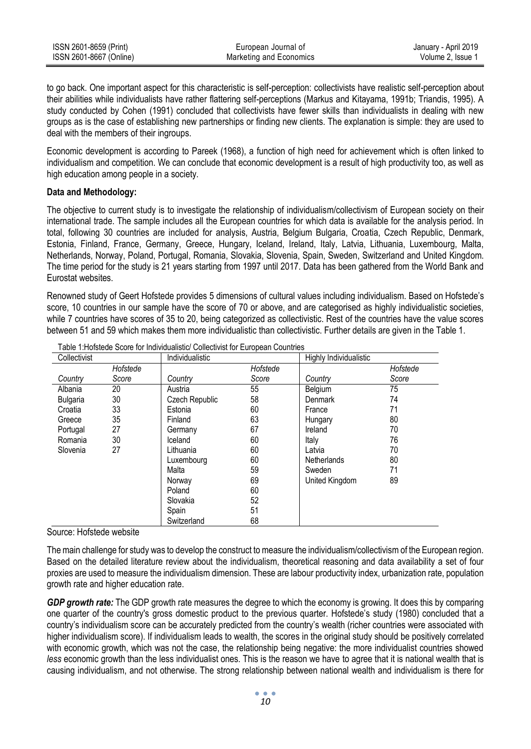| ISSN 2601-8659 (Print)  | European Journal of     | January - April 2019 |
|-------------------------|-------------------------|----------------------|
| ISSN 2601-8667 (Online) | Marketing and Economics | Volume 2. Issue 1    |

to go back. One important aspect for this characteristic is self-perception: collectivists have realistic self-perception about their abilities while individualists have rather flattering self-perceptions (Markus and Kitayama, 1991b; Triandis, 1995). A study conducted by Cohen (1991) concluded that collectivists have fewer skills than individualists in dealing with new groups as is the case of establishing new partnerships or finding new clients. The explanation is simple: they are used to deal with the members of their ingroups.

Economic development is according to Pareek (1968), a function of high need for achievement which is often linked to individualism and competition. We can conclude that economic development is a result of high productivity too, as well as high education among people in a society.

### **Data and Methodology:**

The objective to current study is to investigate the relationship of individualism/collectivism of European society on their international trade. The sample includes all the European countries for which data is available for the analysis period. In total, following 30 countries are included for analysis, Austria, Belgium Bulgaria, Croatia, Czech Republic, Denmark, Estonia, Finland, France, Germany, Greece, Hungary, Iceland, Ireland, Italy, Latvia, Lithuania, Luxembourg, Malta, Netherlands, Norway, Poland, Portugal, Romania, Slovakia, Slovenia, Spain, Sweden, Switzerland and United Kingdom. The time period for the study is 21 years starting from 1997 until 2017. Data has been gathered from the World Bank and Eurostat websites.

Renowned study of Geert Hofstede provides 5 dimensions of cultural values including individualism. Based on Hofstede's score, 10 countries in our sample have the score of 70 or above, and are categorised as highly individualistic societies, while 7 countries have scores of 35 to 20, being categorized as collectivistic. Rest of the countries have the value scores between 51 and 59 which makes them more individualistic than collectivistic. Further details are given in the Table 1.

| Collectivist |          | Individualistic |          | Highly Individualistic |          |
|--------------|----------|-----------------|----------|------------------------|----------|
|              | Hofstede |                 | Hofstede |                        | Hofstede |
| Country      | Score    | Country         | Score    | Country                | Score    |
| Albania      | 20       | Austria         | 55       | Belgium                | 75       |
| Bulgaria     | 30       | Czech Republic  | 58       | Denmark                | 74       |
| Croatia      | 33       | Estonia         | 60       | France                 | 71       |
| Greece       | 35       | Finland         | 63       | Hungary                | 80       |
| Portugal     | 27       | Germany         | 67       | Ireland                | 70       |
| Romania      | 30       | Iceland         | 60       | Italy                  | 76       |
| Slovenia     | 27       | Lithuania       | 60       | Latvia                 | 70       |
|              |          | Luxembourg      | 60       | <b>Netherlands</b>     | 80       |
|              |          | Malta           | 59       | Sweden                 | 71       |
|              |          | Norway          | 69       | United Kingdom         | 89       |
|              |          | Poland          | 60       |                        |          |
|              |          | Slovakia        | 52       |                        |          |
|              |          | Spain           | 51       |                        |          |
|              |          | Switzerland     | 68       |                        |          |

Table 1:Hofstede Score for Individualistic/ Collectivist for European Countries

Source: Hofstede website

The main challenge for study was to develop the construct to measure the individualism/collectivism of the European region. Based on the detailed literature review about the individualism, theoretical reasoning and data availability a set of four proxies are used to measure the individualism dimension. These are labour productivity index, urbanization rate, population growth rate and higher education rate.

*GDP growth rate:* The GDP growth rate measures the degree to which the economy is growing. It does this by comparing one quarter of the country's [gross domestic product](https://www.thebalance.com/what-is-gdp-definition-of-gross-domestic-product-3306038) to the previous quarter. Hofstede's study (1980) concluded that a country's individualism score can be accurately predicted from the country's wealth (richer countries were associated with higher individualism score). If individualism leads to wealth, the scores in the original study should be positively correlated with economic growth, which was not the case, the relationship being negative: the more individualist countries showed *less* economic growth than the less individualist ones. This is the reason we have to agree that it is national wealth that is causing individualism, and not otherwise. The strong relationship between national wealth and individualism is there for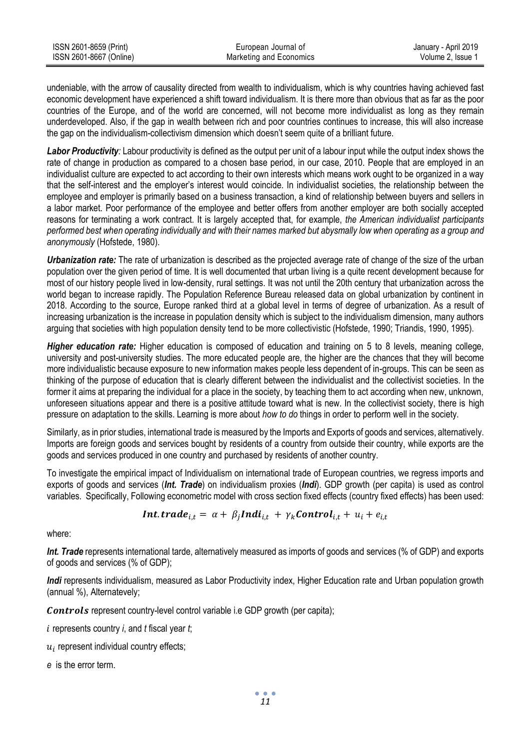| ISSN 2601-8659 (Print)  | European Journal of     | January - April 2019 |
|-------------------------|-------------------------|----------------------|
| ISSN 2601-8667 (Online) | Marketing and Economics | Volume 2. Issue 1    |

undeniable, with the arrow of causality directed from wealth to individualism, which is why countries having achieved fast economic development have experienced a shift toward individualism. It is there more than obvious that as far as the poor countries of the Europe, and of the world are concerned, will not become more individualist as long as they remain underdeveloped. Also, if the gap in wealth between rich and poor countries continues to increase, this will also increase the gap on the individualism-collectivism dimension which doesn't seem quite of a brilliant future.

Labor Productivity: Labour productivity is defined as the output per unit of a labour input while the output index shows the rate of change in production as compared to a chosen base period, in our case, 2010. People that are employed in an individualist culture are expected to act according to their own interests which means work ought to be organized in a way that the self-interest and the employer's interest would coincide. In individualist societies, the relationship between the employee and employer is primarily based on a business transaction, a kind of relationship between buyers and sellers in a labor market. Poor performance of the employee and better offers from another employer are both socially accepted reasons for terminating a work contract. It is largely accepted that, for example, *the American individualist participants performed best when operating individually and with their names marked but abysmally low when operating as a group and anonymously* (Hofstede, 1980).

*Urbanization rate:* The rate of urbanization is described as the projected average rate of change of the size of the urban population over the given period of time. It is well documented that urban living is a quite recent development because for most of our history people lived in low-density, rural settings. It was not until the 20th century that urbanization across the world began to increase rapidly. The Population Reference Bureau released data on global urbanization by continent in 2018. According to the source, Europe ranked third at a global level in terms of degree of urbanization. As a result of increasing urbanization is the increase in population density which is subject to the individualism dimension, many authors arguing that societies with high population density tend to be more collectivistic (Hofstede, 1990; Triandis, 1990, 1995).

*Higher education rate:* Higher education is composed of education and training on 5 to 8 levels, meaning college, university and post-university studies. The more educated people are, the higher are the chances that they will become more individualistic because exposure to new information makes people less dependent of in-groups. This can be seen as thinking of the purpose of education that is clearly different between the individualist and the collectivist societies. In the former it aims at preparing the individual for a place in the society, by teaching them to act according when new, unknown, unforeseen situations appear and there is a positive attitude toward what is new. In the collectivist society, there is high pressure on adaptation to the skills. Learning is more about *how to do* things in order to perform well in the society.

Similarly, as in prior studies, international trade is measured by the Imports and Exports of goods and services, alternatively. Imports are foreign goods and services bought by residents of a country from outside their country, while exports are the goods and services produced in one country and purchased by residents of another country.

To investigate the empirical impact of Individualism on international trade of European countries, we regress imports and exports of goods and services (*Int. Trade*) on individualism proxies (*Indi*). GDP growth (per capita) is used as control variables. Specifically, Following econometric model with cross section fixed effects (country fixed effects) has been used:

*Int*. *trade*<sub>*i*,*t*</sub> = 
$$
\alpha + \beta_j Indi_{i,t} + \gamma_k Control_{i,t} + u_i + e_{i,t}
$$

where:

*Int. Trade* represents international tarde, alternatively measured as imports of goods and services (% of GDP) and exports of goods and services (% of GDP);

*Indi* represents individualism, measured as Labor Productivity index, Higher Education rate and Urban population growth (annual %), Alternatevely;

 $\textit{Controls}$  represent country-level control variable i.e GDP growth (per capita);

- *i* represents country *i*, and *t* fiscal year *t*;
- $u_i$  represent individual country effects;
- *e* is the error term.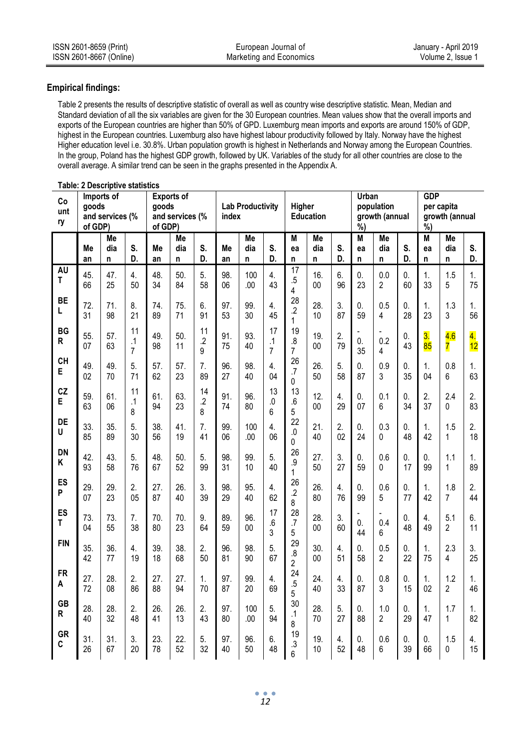## **Empirical findings:**

Table 2 presents the results of descriptive statistic of overall as well as country wise descriptive statistic. Mean, Median and Standard deviation of all the six variables are given for the 30 European countries. Mean values show that the overall imports and exports of the European countries are higher than 50% of GPD. Luxemburg mean imports and exports are around 150% of GDP, highest in the European countries. Luxemburg also have highest labour productivity followed by Italy. Norway have the highest Higher education level i.e. 30.8%. Urban population growth is highest in Netherlands and Norway among the European Countries. In the group, Poland has the highest GDP growth, followed by UK. Variables of the study for all other countries are close to the overall average. A similar trend can be seen in the graphs presented in the Appendix A.

| Co<br>unt<br>ry | goods<br>of GDP) | Imports of<br>and services (% |                                   | goods<br>of GDP) | <b>Exports of</b><br>and services (% |                           | index     | <b>Lab Productivity</b> |                                   | Higher                                 | Education     |                        | Urban<br>%)        | population<br>growth (annual |                      | <b>GDP</b><br>%)       | per capita<br>growth (annual |                        |
|-----------------|------------------|-------------------------------|-----------------------------------|------------------|--------------------------------------|---------------------------|-----------|-------------------------|-----------------------------------|----------------------------------------|---------------|------------------------|--------------------|------------------------------|----------------------|------------------------|------------------------------|------------------------|
|                 | Me               | Me<br>dia                     | S.                                | Me               | Me<br>dia                            | S.                        | Me        | Me<br>dia               | S.                                | М<br>ea                                | Me<br>dia     | S.                     | M                  | Me<br>dia                    | S.                   | M                      | Me<br>dia                    | S.                     |
|                 | an               | n                             | D.                                | an               | n                                    | D.                        | an        | n                       | D.                                | n                                      | n             | D.                     | ea<br>n            | n                            | D.                   | ea<br>n.               | n                            | D.                     |
| AU<br>T         | 45.<br>66        | 47.<br>25                     | 4.<br>50                          | 48.<br>34        | 50.<br>84                            | 5.<br>58                  | 98.<br>06 | 100<br>.00              | 4.<br>43                          | 17<br>$.5\,$<br>4                      | 16.<br>$00\,$ | 6.<br>96               | $\mathbf{0}$<br>23 | 0.0<br>$\overline{2}$        | 0.<br>60             | 1.<br>33               | 1.5<br>5                     | 1.<br>75               |
| <b>BE</b><br>L  | 72.<br>31        | 71.<br>98                     | 8.<br>21                          | 74.<br>89        | 75.<br>71                            | 6.<br>91                  | 97.<br>53 | 99.<br>30               | $\overline{4}$ .<br>45            | 28<br>$\cdot$<br>$\mathbf{1}$          | 28.<br>10     | 3.<br>87               | $\Omega$<br>59     | 0.5<br>4                     | 0<br>28              | 1.<br>23               | 1.3<br>3                     | $\mathbf{1}$ .<br>56   |
| BG<br>R         | 55.<br>07        | 57.<br>63                     | 11<br>$\cdot$ 1<br>$\overline{7}$ | 49.<br>98        | 50.<br>11                            | 11<br>$\overline{2}$<br>9 | 91.<br>75 | 93.<br>40               | 17<br>$\cdot$ 1<br>$\overline{7}$ | 19<br>$\overline{8}$<br>$\overline{7}$ | 19.<br>00     | $\overline{2}$ .<br>79 | $\mathbf{0}$<br>35 | 0.2<br>4                     | 0.<br>43             | $\overline{3}$ .<br>85 | 4.6<br>7                     | $\overline{4}$ .<br>12 |
| CH<br>E         | 49.<br>02        | 49.<br>70                     | 5.<br>71                          | 57.<br>62        | 57.<br>23                            | 7.<br>89                  | 96.<br>27 | 98.<br>40               | 4.<br>04                          | 26<br>$\overline{J}$<br>0              | 26.<br>50     | 5.<br>58               | 0.<br>87           | 0.9<br>3                     | 0.<br>35             | 1.<br>04               | 0.8<br>6                     | 1.<br>63               |
| CZ<br>E         | 59.<br>63        | 61.<br>06                     | 11<br>.1<br>8                     | 61.<br>94        | 63.<br>23                            | 14<br>$.2\,$<br>8         | 91.<br>74 | 96.<br>80               | 13<br>$\mathbf{0}$<br>6           | 13<br>6<br>5                           | 12.<br>00     | 4.<br>29               | 0.<br>07           | 0.1<br>6                     | 0.<br>34             | 2.<br>37               | 2.4<br>0                     | 2.<br>83               |
| DE<br>U         | 33.<br>85        | 35.<br>89                     | 5.<br>30                          | 38.<br>56        | 41.<br>19                            | 7.<br>41                  | 99.<br>06 | 100<br>.00              | 4.<br>06                          | 22<br>0<br>0                           | 21.<br>40     | $\overline{2}$ .<br>02 | $\mathbf{0}$<br>24 | 0.3<br>$\Omega$              | 0.<br>48             | 1.<br>42               | 1.5<br>1                     | 2.<br>18               |
| <b>DN</b><br>ĸ  | 42.<br>93        | 43.<br>58                     | 5.<br>76                          | 48.<br>67        | 50.<br>52                            | 5.<br>99                  | 98.<br>31 | 99.<br>10               | 5.<br>40                          | 26<br>.9<br>$\mathbf{1}$               | 27.<br>50     | $\overline{3}$ .<br>27 | $\mathbf{0}$<br>59 | 0.6<br>0                     | $\mathbf{0}$ .<br>17 | $\mathbf{0}$ .<br>99   | 1.1<br>$\mathbf{1}$          | 1.<br>89               |
| ES<br>P         | 29.<br>07        | 29.<br>23                     | 2.<br>0 <sub>5</sub>              | 27.<br>87        | 26.<br>40                            | 3.<br>39                  | 98.<br>29 | 95.<br>40               | 4.<br>62                          | 26<br>$\overline{2}$<br>8              | 26.<br>80     | 4.<br>76               | 0.<br>99           | 0.6<br>5                     | 0.<br>77             | 1.<br>42               | 1.8<br>$\overline{7}$        | 2.<br>44               |
| ES<br>T         | 73.<br>04        | 73.<br>55                     | 7.<br>38                          | 70.<br>80        | 70.<br>23                            | 9.<br>64                  | 89.<br>59 | 96.<br>00               | 17<br>$6.5\,$<br>3                | 28<br>$\overline{J}$<br>5              | 28.<br>00     | 3.<br>60               | $\mathbf{0}$<br>44 | 0.4<br>6                     | 0.<br>48             | 4.<br>49               | 5.1<br>$\overline{2}$        | 6.<br>11               |
| <b>FIN</b>      | 35.<br>42        | 36.<br>77                     | 4.<br>19                          | 39.<br>18        | 38.<br>68                            | 2.<br>50                  | 96.<br>81 | 98.<br>90               | 5.<br>67                          | 29<br>$\overline{8}$<br>$\overline{2}$ | 30.<br>$00\,$ | 4.<br>51               | 0.<br>58           | 0.5<br>$\mathfrak{p}$        | 0.<br>22             | 1.<br>75               | 2.3<br>4                     | 3.<br>25               |
| <b>FR</b><br>A  | 27.<br>72        | 28.<br>08                     | 2.<br>86                          | 27.<br>88        | 27.<br>94                            | 1.<br>70                  | 97.<br>87 | 99.<br>20               | 4.<br>69                          | 24<br>.5<br>5                          | 24.<br>40     | 4.<br>33               | 0.<br>87           | 0.8<br>3                     | 0.<br>15             | 1.<br>02               | 1.2<br>$\overline{2}$        | 1.<br>46               |
| <b>GB</b><br>R  | 28.<br>40        | 28.<br>32                     | $\overline{2}$ .<br>48            | 26.<br>41        | 26.<br>13                            | $\overline{2}$ .<br>43    | 97.<br>80 | 100<br>.00              | 5.<br>94                          | 30<br>$\cdot$ 1<br>8                   | 28.<br>70     | 5.<br>27               | $\mathbf{0}$<br>88 | 1.0<br>$\overline{2}$        | 0.<br>29             | 1.<br>47               | 1.7<br>$\mathbf{1}$          | 1.<br>82               |
| GR<br>C         | 31.<br>26        | 31.<br>67                     | 3.<br>20                          | 23.<br>78        | 22.<br>52                            | 5.<br>32                  | 97.<br>40 | 96.<br>50               | 6.<br>48                          | 19<br>$\cdot$<br>6                     | 19.<br>10     | 4.<br>52               | 0.<br>48           | 0.6<br>6                     | 0.<br>39             | 0.<br>66               | 1.5<br>0                     | 4.<br>15               |

# **Table: 2 Descriptive statistics**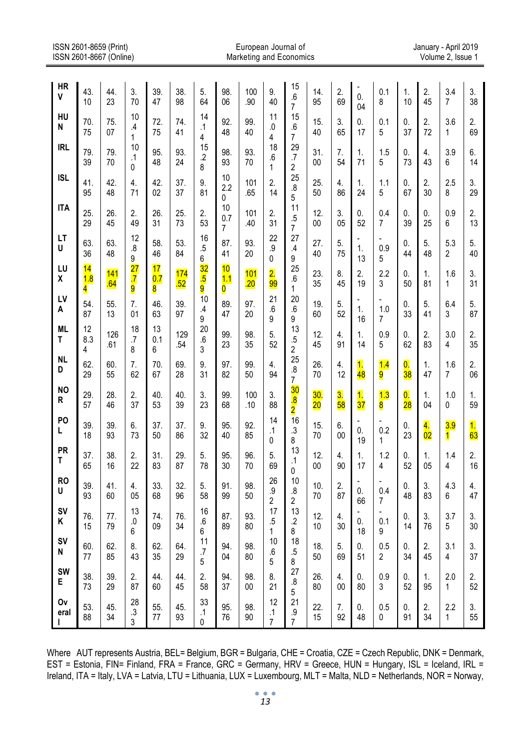| ISSN 2601-8659 (Print)<br>ISSN 2601-8667 (Online) |                |            |                                         |                |            |                                         |                | European Journal of<br>Marketing and Economics |                                        |                                                 |               |                                 |                                 |                       |                                 |                       | January - April 2019<br>Volume 2, Issue 1 |                                 |
|---------------------------------------------------|----------------|------------|-----------------------------------------|----------------|------------|-----------------------------------------|----------------|------------------------------------------------|----------------------------------------|-------------------------------------------------|---------------|---------------------------------|---------------------------------|-----------------------|---------------------------------|-----------------------|-------------------------------------------|---------------------------------|
| <b>HR</b><br>٧                                    | 43.<br>10      | 44.<br>23  | 3.<br>70                                | 39.<br>47      | 38.<br>98  | 5.<br>64                                | 98.<br>06      | 100<br>.90                                     | 9.<br>40                               | 15<br>.6                                        | 14.<br>95     | 2.<br>69                        | $\overline{a}$<br>0.<br>04      | 0.1<br>8              | 1.<br>10                        | 2.<br>45              | 3.4<br>7                                  | 3.<br>38                        |
| HU<br>N                                           | 70.<br>75      | 75.<br>07  | 10<br>$\mathcal{A}$<br>1                | 72.<br>75      | 74.<br>41  | 14<br>.1<br>4                           | 92.<br>48      | 99.<br>40                                      | 11<br>.0<br>4                          | 7<br>15<br>.6<br>7                              | 15.<br>40     | 3.<br>65                        | 0.<br>17                        | 0.1<br>5              | 0.<br>37                        | 2.<br>72              | 3.6<br>1                                  | 2.<br>69                        |
| <b>IRL</b>                                        | 79.<br>39      | 79.<br>70  | 10<br>$\cdot$ 1<br>0                    | 95.<br>48      | 93.<br>24  | 15<br>$\overline{2}$<br>8               | 98.<br>93      | 93.<br>70                                      | 18<br>.6<br>1                          | 29<br>$\cdot$<br>2                              | 31.<br>$00\,$ | 7.<br>54                        | 1.<br>71                        | 1.5<br>5              | 0.<br>73                        | 4.<br>43              | 3.9<br>6                                  | 6.<br>14                        |
| <b>ISL</b>                                        | 41.<br>95      | 42.<br>48  | 4.<br>71                                | 42.<br>02      | 37.<br>37  | 9.<br>81                                | 10<br>2.2<br>0 | 101<br>.65                                     | 2.<br>14                               | 25<br>.8<br>5                                   | 25.<br>50     | 4.<br>86                        | 1.<br>24                        | 1.1<br>5              | 0.<br>67                        | 2.<br>30              | 2.5<br>8                                  | 3.<br>29                        |
| <b>ITA</b>                                        | 25.<br>29      | 26.<br>45  | 2.<br>49                                | 26.<br>31      | 25.<br>73  | 2.<br>53                                | 10<br>0.7<br>7 | 101<br>.40                                     | 2.<br>31                               | 11<br>.5<br>7                                   | 12.<br>$00\,$ | 3.<br>05                        | 0.<br>52                        | 0.4<br>7              | 0.<br>39                        | 0.<br>25              | 0.9<br>6                                  | 2.<br>13                        |
| LT<br>U                                           | 63.<br>36      | 63.<br>48  | 12<br>.8<br>9                           | 58.<br>46      | 53.<br>84  | 16<br>.5<br>6                           | 87.<br>41      | 93.<br>20                                      | 22<br>$\cdot$<br>0                     | 27<br>.4<br>9                                   | 27.<br>40     | 5.<br>75                        | $\overline{a}$<br>1.<br>13      | 0.9<br>5              | 0.<br>44                        | 5.<br>48              | 5.3<br>2                                  | 5.<br>40                        |
| LU<br>X                                           | 14<br>1.8<br>4 | 141<br>.64 | $\overline{27}$<br>$\overline{.7}$<br>9 | 17<br>0.7<br>8 | 174<br>.52 | $\overline{32}$<br>$\overline{.5}$<br>9 | 10<br>1.1<br>0 | 101<br>.20                                     | $\overline{2}$ .<br>99                 | 25<br>.6<br>1                                   | 23.<br>35     | 8.<br>45                        | 2.<br>19                        | 2.2<br>3              | 0.<br>50                        | 1.<br>81              | 1.6<br>1                                  | 3.<br>31                        |
| LV<br>A                                           | 54.<br>87      | 55.<br>13  | $\overline{7}$ .<br>01                  | 46.<br>63      | 39.<br>97  | 10<br>.4<br>9                           | 89.<br>47      | 97.<br>20                                      | 21<br>.6<br>9                          | 20<br>.6<br>9                                   | 19.<br>60     | 5.<br>52                        | 1.<br>16                        | 1.0<br>7              | 0.<br>33                        | 5.<br>41              | 6.4<br>3                                  | 5.<br>87                        |
| ML<br>т                                           | 12<br>8.3<br>4 | 126<br>.61 | 18<br>.7<br>8                           | 13<br>0.1<br>6 | 129<br>.54 | 20<br>.6<br>3                           | 99.<br>23      | 98.<br>35                                      | 5.<br>52                               | 13<br>$.5\,$<br>2                               | 12.<br>45     | 4.<br>91                        | 1.<br>14                        | 0.9<br>5              | 0.<br>62                        | 2.<br>83              | 3.0<br>4                                  | 2.<br>35                        |
| <b>NL</b><br>D                                    | 62.<br>29      | 60.<br>55  | 7.<br>62                                | 70.<br>67      | 69.<br>28  | 9.<br>31                                | 97.<br>82      | 99.<br>50                                      | 4.<br>94                               | 25<br>$\boldsymbol{.8}$<br>7                    | 26.<br>70     | 4.<br>12                        | $\overline{\mathbf{1}}$ .<br>48 | 1.4<br>9              | $\overline{\mathbf{0}}$ .<br>38 | 1.<br>47              | 1.6<br>$\overline{7}$                     | 2.<br>06                        |
| <b>NO</b><br>R                                    | 29.<br>57      | 28.<br>46  | 2.<br>37                                | 40.<br>53      | 40.<br>39  | 3.<br>23                                | 99.<br>68      | 100<br>.10                                     | 3.<br>88                               | 30<br>$\overline{\mathbf{8}}$<br>$\overline{2}$ | 30.<br>$20\,$ | $\overline{\mathbf{3}}$ .<br>58 | 1.<br>$\overline{37}$           | 1.3<br>8              | $\overline{0}$ .<br>28          | 1.<br>04              | 1.0<br>0                                  | 1.<br>59                        |
| P <sub>O</sub><br>L                               | 39.<br>18      | 39.<br>93  | 6.<br>73                                | 37.<br>50      | 37.<br>86  | 9.<br>32                                | 95.<br>40      | 92.<br>85                                      | 14<br>.1<br>0                          | 16<br>.3<br>8                                   | 15.<br>70     | 6.<br>00                        | $\overline{a}$<br>0.<br>19      | ٠<br>0.2<br>1         | 0.<br>23                        | 4.<br>$\overline{02}$ | 3.9<br>1                                  | $\overline{\mathbf{1}}$ .<br>63 |
| <b>PR</b><br>Т                                    | 37.<br>65      | 38.<br>16  | 2.<br>22                                | 31.<br>83      | 29.<br>87  | 5.<br>78                                | 95.<br>30      | 96.<br>70                                      | 5.<br>69                               | 13<br>$\cdot$ 1<br>0                            | 12.<br>00     | 4.<br>90                        | 1.<br>17                        | 1.2<br>4              | 0.<br>52                        | 1.<br>05              | 1.4<br>4                                  | 2.<br>16                        |
| <b>RO</b><br>U                                    | 39.<br>93      | 41.<br>60  | 4.<br>05                                | 33.<br>68      | 32.<br>96  | 5.<br>58                                | 91.<br>99      | 98.<br>50                                      | 26<br>$\overline{9}$<br>$\overline{2}$ | 10<br>.8<br>2                                   | 10.<br>70     | 2.<br>87                        | L,<br>0.<br>66                  | 0.4<br>7              | 0.<br>48                        | 3.<br>83              | 4.3<br>6                                  | 4.<br>47                        |
| <b>SV</b><br>Κ                                    | 76.<br>15      | 77.<br>79  | 13<br>.0<br>6                           | 74.<br>09      | 76.<br>34  | 16<br>.6<br>6                           | 87.<br>89      | 93.<br>80                                      | 17<br>.5<br>1                          | 13<br>$\cdot$<br>8                              | 12.<br>10     | 4.<br>30                        | 0.<br>18                        | 0.1<br>9              | 0.<br>14                        | 3.<br>76              | 3.7<br>5                                  | 3.<br>30                        |
| SV<br>N                                           | 60.<br>77      | 62.<br>85  | 8.<br>43                                | 62.<br>35      | 64.<br>29  | 11<br>$\cdot$<br>5                      | 94.<br>04      | 98.<br>80                                      | 10<br>$.6\,$<br>5                      | 18<br>$.5\,$<br>8                               | 18.<br>50     | 5.<br>69                        | 0.<br>51                        | 0.5<br>$\overline{2}$ | 0.<br>34                        | 2.<br>45              | 3.1<br>$\overline{4}$                     | 3.<br>37                        |
| SW<br>Е                                           | 38.<br>73      | 39.<br>29  | 2.<br>87                                | 44.<br>60      | 44.<br>45  | 2.<br>58                                | 94.<br>37      | 98.<br>00                                      | 8.<br>21                               | 27<br>.8<br>5                                   | 26.<br>80     | 4.<br>00                        | 0.<br>80                        | 0.9<br>3              | 0.<br>52                        | 1.<br>95              | 2.0<br>$\mathbf{1}$                       | 2.<br>52                        |
| 0۷<br>eral                                        | 53.<br>88      | 45.<br>34  | 28<br>$\cdot$ 3<br>3                    | 55.<br>77      | 45.<br>93  | 33<br>$\cdot$ 1<br>0                    | 95.<br>76      | 98.<br>90                                      | 12<br>.1<br>$\overline{7}$             | 21<br>.9<br>7                                   | 22.<br>15     | 7.<br>92                        | 0.<br>48                        | 0.5<br>0              | 0.<br>91                        | 2.<br>34              | 2.2<br>$\mathbf{1}$                       | 3.<br>55                        |

Where AUT represents Austria, BEL= Belgium, BGR = Bulgaria, CHE = Croatia, CZE = Czech Republic, DNK = Denmark, EST = Estonia, FIN= Finland, FRA = France, GRC = Germany, HRV = Greece, HUN = Hungary, ISL = Iceland, IRL = Ireland, ITA = Italy, LVA = Latvia, LTU = Lithuania, LUX = Luxembourg, MLT = Malta, NLD = Netherlands, NOR = Norway,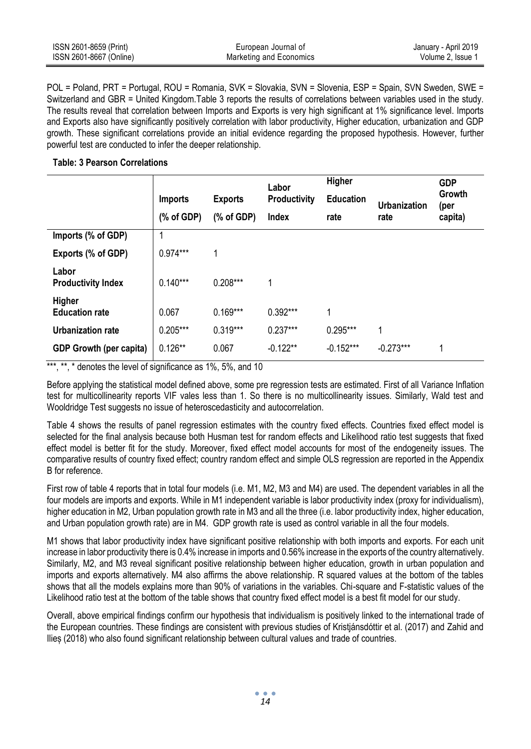| ISSN 2601-8659 (Print)  | European Journal of     | January - April 2019 |
|-------------------------|-------------------------|----------------------|
| ISSN 2601-8667 (Online) | Marketing and Economics | Volume 2. Issue 1    |

POL = Poland, PRT = Portugal, ROU = Romania, SVK = Slovakia, SVN = Slovenia, ESP = Spain, SVN Sweden, SWE = Switzerland and GBR = United Kingdom.Table 3 reports the results of correlations between variables used in the study. The results reveal that correlation between Imports and Exports is very high significant at 1% significance level. Imports and Exports also have significantly positively correlation with labor productivity, Higher education, urbanization and GDP growth. These significant correlations provide an initial evidence regarding the proposed hypothesis. However, further powerful test are conducted to infer the deeper relationship.

#### **Table: 3 Pearson Correlations**

|                                    |                                                                            |                | Labor               | Higher           | <b>GDP</b>          |                |  |
|------------------------------------|----------------------------------------------------------------------------|----------------|---------------------|------------------|---------------------|----------------|--|
|                                    | <b>Imports</b>                                                             | <b>Exports</b> | <b>Productivity</b> | <b>Education</b> | <b>Urbanization</b> | Growth<br>(per |  |
|                                    | $(% \mathcal{L}^{\prime}\mathcal{L}^{\prime}\mathcal{L}^{\prime})$ of GDP) | % of GDP       | Index               | rate             | rate                | capita)        |  |
| Imports (% of GDP)                 |                                                                            |                |                     |                  |                     |                |  |
| Exports (% of GDP)                 | $0.974***$                                                                 | 1              |                     |                  |                     |                |  |
| Labor<br><b>Productivity Index</b> | $0.140***$                                                                 | $0.208***$     | 1                   |                  |                     |                |  |
| Higher<br><b>Education rate</b>    | 0.067                                                                      | $0.169***$     | $0.392***$          | 1                |                     |                |  |
| <b>Urbanization rate</b>           | $0.205***$                                                                 | $0.319***$     | $0.237***$          | $0.295***$       | 1                   |                |  |
| <b>GDP Growth (per capita)</b>     | $0.126**$                                                                  | 0.067          | $-0.122**$          | $-0.152***$      | $-0.273***$         | 1              |  |

\*\*\*, \*\*,  $*$  denotes the level of significance as  $1\%$ ,  $5\%$ , and  $10$ 

Before applying the statistical model defined above, some pre regression tests are estimated. First of all Variance Inflation test for multicollinearity reports VIF vales less than 1. So there is no multicollinearity issues. Similarly, Wald test and Wooldridge Test suggests no issue of heteroscedasticity and autocorrelation.

Table 4 shows the results of panel regression estimates with the country fixed effects. Countries fixed effect model is selected for the final analysis because both Husman test for random effects and Likelihood ratio test suggests that fixed effect model is better fit for the study. Moreover, fixed effect model accounts for most of the endogeneity issues. The comparative results of country fixed effect; country random effect and simple OLS regression are reported in the Appendix B for reference.

First row of table 4 reports that in total four models (i.e. M1, M2, M3 and M4) are used. The dependent variables in all the four models are imports and exports. While in M1 independent variable is labor productivity index (proxy for individualism), higher education in M2, Urban population growth rate in M3 and all the three (i.e. labor productivity index, higher education, and Urban population growth rate) are in M4. GDP growth rate is used as control variable in all the four models.

M1 shows that labor productivity index have significant positive relationship with both imports and exports. For each unit increase in labor productivity there is 0.4% increase in imports and 0.56% increase in the exports of the country alternatively. Similarly, M2, and M3 reveal significant positive relationship between higher education, growth in urban population and imports and exports alternatively. M4 also affirms the above relationship. R squared values at the bottom of the tables shows that all the models explains more than 90% of variations in the variables. Chi-square and F-statistic values of the Likelihood ratio test at the bottom of the table shows that country fixed effect model is a best fit model for our study.

Overall, above empirical findings confirm our hypothesis that individualism is positively linked to the international trade of the European countries. These findings are consistent with previous studies of Kristjánsdóttir et al. (2017) and Zahid and Ilieș (2018) who also found significant relationship between cultural values and trade of countries.

*14*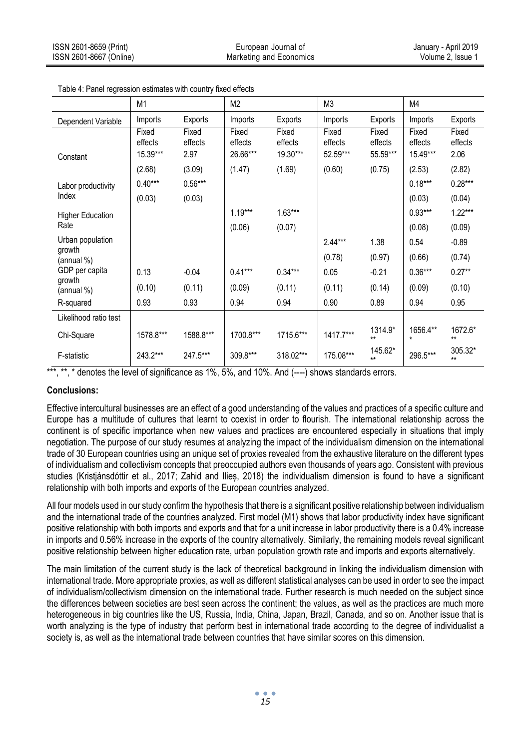|                         | M <sub>1</sub>               |                          | M <sub>2</sub>               |                              | M <sub>3</sub>               |                              | M4                           |                          |
|-------------------------|------------------------------|--------------------------|------------------------------|------------------------------|------------------------------|------------------------------|------------------------------|--------------------------|
| Dependent Variable      | Imports                      | Exports                  | Imports                      | Exports                      | Imports                      | Exports                      | Imports                      | Exports                  |
| Constant                | Fixed<br>effects<br>15.39*** | Fixed<br>effects<br>2.97 | Fixed<br>effects<br>26.66*** | Fixed<br>effects<br>19.30*** | Fixed<br>effects<br>52.59*** | Fixed<br>effects<br>55.59*** | Fixed<br>effects<br>15.49*** | Fixed<br>effects<br>2.06 |
|                         | (2.68)                       | (3.09)                   | (1.47)                       | (1.69)                       | (0.60)                       | (0.75)                       | (2.53)                       | (2.82)                   |
| Labor productivity      | $0.40***$                    | $0.56***$                |                              |                              |                              |                              | $0.18***$                    | $0.28***$                |
| Index                   | (0.03)                       | (0.03)                   |                              |                              |                              |                              | (0.03)                       | (0.04)                   |
| <b>Higher Education</b> |                              |                          | $1.19***$                    | $1.63***$                    |                              |                              | $0.93***$                    | $1.22***$                |
| Rate                    |                              |                          | (0.06)                       | (0.07)                       |                              |                              | (0.08)                       | (0.09)                   |
| Urban population        |                              |                          |                              |                              | $2.44***$                    | 1.38                         | 0.54                         | $-0.89$                  |
| growth<br>(annual %)    |                              |                          |                              |                              | (0.78)                       | (0.97)                       | (0.66)                       | (0.74)                   |
| GDP per capita          | 0.13                         | $-0.04$                  | $0.41***$                    | $0.34***$                    | 0.05                         | $-0.21$                      | $0.36***$                    | $0.27**$                 |
| growth<br>(annual %)    | (0.10)                       | (0.11)                   | (0.09)                       | (0.11)                       | (0.11)                       | (0.14)                       | (0.09)                       | (0.10)                   |
| R-squared               | 0.93                         | 0.93                     | 0.94                         | 0.94                         | 0.90                         | 0.89                         | 0.94                         | 0.95                     |
| Likelihood ratio test   |                              |                          |                              |                              |                              |                              |                              |                          |
| Chi-Square              | 1578.8***                    | 1588.8***                | 1700.8***                    | 1715.6***                    | 1417.7***                    | 1314.9*<br>$\star\star$      | 1656.4**<br>$\star$          | 1672.6*<br>$**$          |
| F-statistic             | 243.2***                     | 247.5***                 | 309.8***                     | 318.02***                    | 175.08***                    | 145.62*<br>$\star\star$      | 296.5***                     | 305.32*<br>$**$          |

Table 4: Panel regression estimates with country fixed effects

\*\*\*, \*\*, \* denotes the level of significance as 1%, 5%, and 10%. And (----) shows standards errors.

## **Conclusions:**

Effective intercultural businesses are an effect of a good understanding of the values and practices of a specific culture and Europe has a multitude of cultures that learnt to coexist in order to flourish. The international relationship across the continent is of specific importance when new values and practices are encountered especially in situations that imply negotiation. The purpose of our study resumes at analyzing the impact of the individualism dimension on the international trade of 30 European countries using an unique set of proxies revealed from the exhaustive literature on the different types of individualism and collectivism concepts that preoccupied authors even thousands of years ago. Consistent with previous studies (Kristjánsdóttir et al., 2017; Zahid and Ilieș, 2018) the individualism dimension is found to have a significant relationship with both imports and exports of the European countries analyzed.

All four models used in our study confirm the hypothesis that there is a significant positive relationship between individualism and the international trade of the countries analyzed. First model (M1) shows that labor productivity index have significant positive relationship with both imports and exports and that for a unit increase in labor productivity there is a 0.4% increase in imports and 0.56% increase in the exports of the country alternatively. Similarly, the remaining models reveal significant positive relationship between higher education rate, urban population growth rate and imports and exports alternatively.

The main limitation of the current study is the lack of theoretical background in linking the individualism dimension with international trade. More appropriate proxies, as well as different statistical analyses can be used in order to see the impact of individualism/collectivism dimension on the international trade. Further research is much needed on the subject since the differences between societies are best seen across the continent; the values, as well as the practices are much more heterogeneous in big countries like the US, Russia, India, China, Japan, Brazil, Canada, and so on. Another issue that is worth analyzing is the type of industry that perform best in international trade according to the degree of individualist a society is, as well as the international trade between countries that have similar scores on this dimension.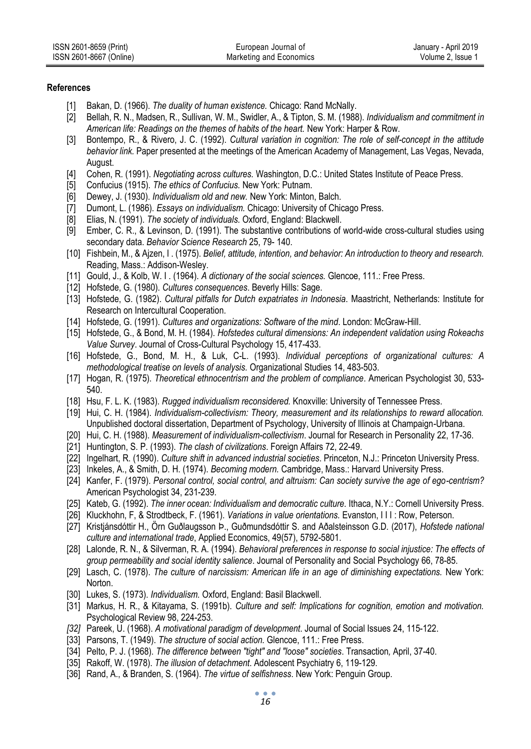| ISSN 2601-8659 (Print)  | European Journal of     | January - April 2019 |
|-------------------------|-------------------------|----------------------|
| ISSN 2601-8667 (Online) | Marketing and Economics | Volume 2. Issue 1    |

#### **References**

- [1] Bakan, D. (1966). *The duality of human existence.* Chicago: Rand McNally.
- [2] Bellah, R. N., Madsen, R., Sullivan, W. M., Swidler, A., & Tipton, S. M. (1988). *Individualism and commitment in American life: Readings on the themes of habits of the heart.* New York: Harper & Row.
- [3] Bontempo, R., & Rivero, J. C. (1992). *Cultural variation in cognition: The role of self-concept in the attitude behavior link.* Paper presented at the meetings of the American Academy of Management, Las Vegas, Nevada, August.
- [4] Cohen, R. (1991). *Negotiating across cultures.* Washington, D.C.: United States Institute of Peace Press.
- [5] Confucius (1915). *The ethics of Confucius.* New York: Putnam.
- [6] Dewey, J. (1930). *Individualism old and new.* New York: Minton, Balch.
- [7] Dumont, L. (1986). *Essays on individualism.* Chicago: University of Chicago Press.
- [8] Elias, N. (1991). *The society of individuals.* Oxford, England: Blackwell.
- [9] Ember, C. R., & Levinson, D. (1991). The substantive contributions of world-wide cross-cultural studies using secondary data. *Behavior Science Research* 25, 79- 140.
- [10] Fishbein, M., & Ajzen, I . (1975). *Belief, attitude, intention, and behavior: An introduction to theory and research.*  Reading, Mass.: Addison-Wesley.
- [11] Gould, J., & Kolb, W. I . (1964). *A dictionary of the social sciences.* Glencoe, 111.: Free Press.
- [12] Hofstede, G. (1980). *Cultures consequences*. Beverly Hills: Sage.
- [13] Hofstede, G. (1982). *Cultural pitfalls for Dutch expatriates in Indonesia*. Maastricht, Netherlands: Institute for Research on Intercultural Cooperation.
- [14] Hofstede, G. (1991). *Cultures and organizations: Software of the mind*. London: McGraw-Hill.
- [15] Hofstede, G., & Bond, M. H. (1984). *Hofstedes cultural dimensions: An independent validation using Rokeachs Value Survey*. Journal of Cross-Cultural Psychology 15, 417-433.
- [16] Hofstede, G., Bond, M. H., & Luk, C-L. (1993). *Individual perceptions of organizational cultures: A methodological treatise on levels of analysis.* Organizational Studies 14, 483-503.
- [17] Hogan, R. (1975). *Theoretical ethnocentrism and the problem of compliance*. American Psychologist 30, 533- 540.
- [18] Hsu, F. L. K. (1983). *Rugged individualism reconsidered.* Knoxville: University of Tennessee Press.
- [19] Hui, C. H. (1984). *Individualism-collectivism: Theory, measurement and its relationships to reward allocation.* Unpublished doctoral dissertation, Department of Psychology, University of Illinois at Champaign-Urbana.
- [20] Hui, C. H. (1988). *Measurement of individualism-collectivism*. Journal for Research in Personality 22, 17-36.
- [21] Huntington, S. P. (1993). *The clash of civilizations*. Foreign Affairs 72, 22-49.
- [22] Ingelhart, R. (1990). *Culture shift in advanced industrial societies*. Princeton, N.J.: Princeton University Press.
- [23] Inkeles, A., & Smith, D. H. (1974). *Becoming modern.* Cambridge, Mass.: Harvard University Press.
- [24] Kanfer, F. (1979). *Personal control, social control, and altruism: Can society survive the age of ego-centrism?* American Psychologist 34, 231-239.
- [25] Kateb, G. (1992). *The inner ocean: Individualism and democratic culture.* Ithaca, N.Y.: Cornell University Press.
- [26] Kluckhohn, F, & Strodtbeck, F. (1961). *Variations in value orientations.* Evanston, I I I : Row, Peterson.
- [27] Kristjánsdóttir H., Örn Guðlaugsson Þ., Guðmundsdóttir S. and Aðalsteinsson G.D. (2017), *Hofstede national culture and international trade*, Applied Economics, 49(57), 5792-5801.
- [28] Lalonde, R. N., & Silverman, R. A. (1994). *Behavioral preferences in response to social injustice: The effects of group permeability and social identity salience*. Journal of Personality and Social Psychology 66, 78-85.
- [29] Lasch, C. (1978). *The culture of narcissism: American life in an age of diminishing expectations.* New York: Norton.
- [30] Lukes, S. (1973). *Individualism.* Oxford, England: Basil Blackwell.
- [31] Markus, H. R., & Kitayama, S. (1991b). *Culture and self: Implications for cognition, emotion and motivation.* Psychological Review 98, 224-253.
- *[32]* Pareek, U. (1968). *A motivational paradigm of development*. Journal of Social Issues 24, 115-122.
- [33] Parsons, T. (1949). *The structure of social action.* Glencoe, 111.: Free Press.
- [34] Pelto, P. J. (1968). *The difference between "tight" and "loose" societies*. Transaction*,* April, 37-40.
- [35] Rakoff, W. (1978). *The illusion of detachment*. Adolescent Psychiatry 6, 119-129.
- [36] Rand, A., & Branden, S. (1964). *The virtue of selfishness*. New York: Penguin Group.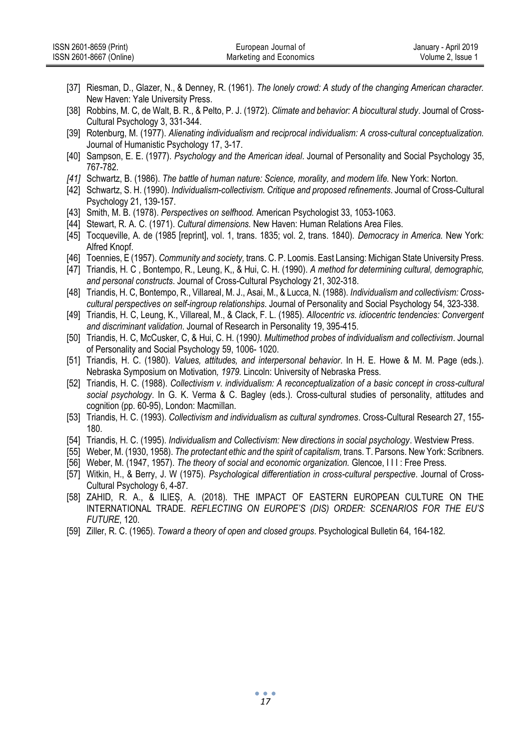| ISSN 2601-8659 (Print)  | European Journal of     | January - April 2019 |
|-------------------------|-------------------------|----------------------|
| ISSN 2601-8667 (Online) | Marketing and Economics | Volume 2. Issue 1    |

- [37] Riesman, D., Glazer, N., & Denney, R. (1961). *The lonely crowd: A study of the changing American character.*  New Haven: Yale University Press.
- [38] Robbins, M. C, de Walt, B. R., & Pelto, P. J. (1972). *Climate and behavior: A biocultural study*. Journal of Cross-Cultural Psychology 3, 331-344.
- [39] Rotenburg, M. (1977). *Alienating individualism and reciprocal individualism: A cross-cultural conceptualization.*  Journal of Humanistic Psychology 17, 3-17.
- [40] Sampson, E. E. (1977). *Psychology and the American ideal*. Journal of Personality and Social Psychology 35, 767-782.
- *[41]* Schwartz, B. (1986). *The battle of human nature: Science, morality, and modern life.* New York: Norton.
- [42] Schwartz, S. H. (1990). *Individualism-collectivism. Critique and proposed refinements*. Journal of Cross-Cultural Psychology 21, 139-157.
- [43] Smith, M. B. (1978). *Perspectives on selfhood.* American Psychologist 33, 1053-1063.
- [44] Stewart, R. A. C. (1971). *Cultural dimensions.* New Haven: Human Relations Area Files.
- [45] Tocqueville, A. de (1985 [reprint], vol. 1, trans. 1835; vol. 2, trans. 1840). *Democracy in America.* New York: Alfred Knopf.
- [46] Toennies, E (1957). *Community and society,* trans. C. P. Loomis. East Lansing: Michigan State University Press.
- [47] Triandis, H. C , Bontempo, R., Leung, K,, & Hui, C. H. (1990). *A method for determining cultural, demographic, and personal constructs*. Journal of Cross-Cultural Psychology 21, 302-318.
- [48] Triandis, H. C, Bontempo, R., Villareal, M. J., Asai, M., & Lucca, N. (1988). *Individualism and collectivism: Crosscultural perspectives on self-ingroup relationships*. Journal of Personality and Social Psychology 54, 323-338.
- [49] Triandis, H. C, Leung, K., Villareal, M., & Clack, F. L. (1985). *Allocentric vs. idiocentric tendencies: Convergent and discriminant validation*. Journal of Research in Personality 19, 395-415.
- [50] Triandis, H. C, McCusker, C, & Hui, C. H. (1990*). Multimethod probes of individualism and collectivism*. Journal of Personality and Social Psychology 59, 1006- 1020.
- [51] Triandis, H. C. (1980). *Values, attitudes, and interpersonal behavior*. In H. E. Howe & M. M. Page (eds.). Nebraska Symposium on Motivation*, 1979.* Lincoln: University of Nebraska Press.
- [52] Triandis, H. C. (1988). *Collectivism v. individualism: A reconceptualization of a basic concept in cross-cultural social psychology*. In G. K. Verma & C. Bagley (eds.). Cross-cultural studies of personality, attitudes and cognition (pp. 60-95), London: Macmillan.
- [53] Triandis, H. C. (1993). *Collectivism and individualism as cultural syndromes*. Cross-Cultural Research 27, 155- 180.
- [54] Triandis, H. C. (1995). *Individualism and Collectivism: New directions in social psychology*. Westview Press.
- [55] Weber, M. (1930, 1958). *The protectant ethic and the spirit of capitalism,* trans. T. Parsons. New York: Scribners.
- [56] Weber, M. (1947, 1957). *The theory of social and economic organization.* Glencoe, I I I : Free Press.
- [57] Witkin, H., & Berry, J. W (1975). *Psychological differentiation in cross-cultural perspective*. Journal of Cross-Cultural Psychology 6, 4-87.
- [58] ZAHID, R. A., & ILIEȘ, A. (2018). THE IMPACT OF EASTERN EUROPEAN CULTURE ON THE INTERNATIONAL TRADE. *REFLECTING ON EUROPE'S (DIS) ORDER: SCENARIOS FOR THE EU'S FUTURE*, 120.
- [59] Ziller, R. C. (1965). *Toward a theory of open and closed groups*. Psychological Bulletin 64, 164-182.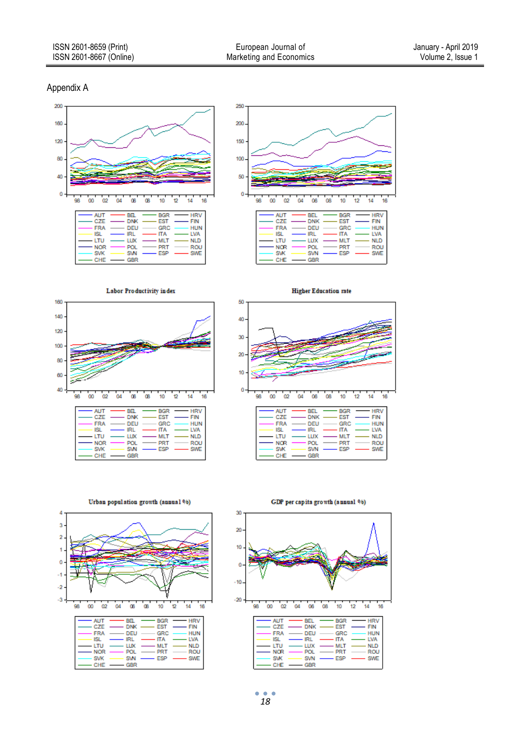#### Appendix A





Labor Productivity index





Urban population growth (annual %)



GDP per capita growth (annual %)



ò  $\bullet$  $\ddot{\phantom{a}}$ *18*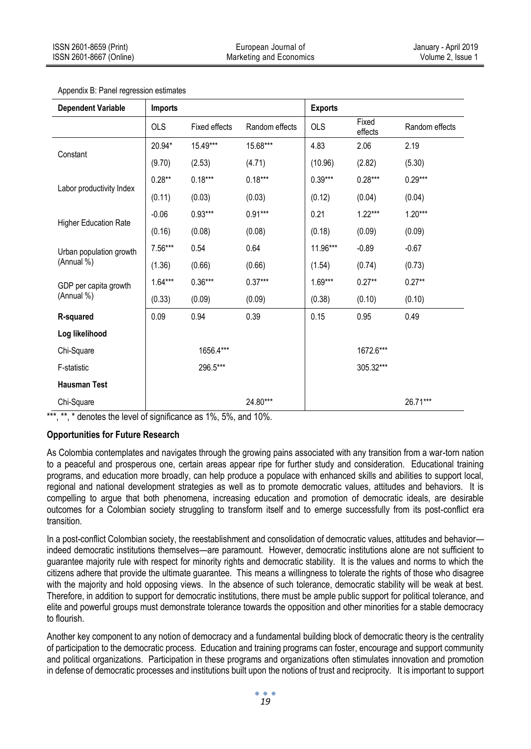| <b>Dependent Variable</b>             | <b>Imports</b> |                      |                | <b>Exports</b> |                  |                |
|---------------------------------------|----------------|----------------------|----------------|----------------|------------------|----------------|
|                                       | <b>OLS</b>     | <b>Fixed effects</b> | Random effects | <b>OLS</b>     | Fixed<br>effects | Random effects |
| Constant                              | 20.94*         | 15.49***             | 15.68***       | 4.83           | 2.06             | 2.19           |
|                                       | (9.70)         | (2.53)               | (4.71)         | (10.96)        | (2.82)           | (5.30)         |
| Labor productivity Index              | $0.28**$       | $0.18***$            | $0.18***$      | $0.39***$      | $0.28***$        | $0.29***$      |
|                                       | (0.11)         | (0.03)               | (0.03)         | (0.12)         | (0.04)           | (0.04)         |
| <b>Higher Education Rate</b>          | $-0.06$        | $0.93***$            | $0.91***$      | 0.21           | $1.22***$        | $1.20***$      |
|                                       | (0.16)         | (0.08)               | (0.08)         | (0.18)         | (0.09)           | (0.09)         |
| Urban population growth<br>(Annual %) | $7.56***$      | 0.54                 | 0.64           | 11.96***       | $-0.89$          | $-0.67$        |
|                                       | (1.36)         | (0.66)               | (0.66)         | (1.54)         | (0.74)           | (0.73)         |
| GDP per capita growth<br>(Annual %)   | $1.64***$      | $0.36***$            | $0.37***$      | $1.69***$      | $0.27**$         | $0.27**$       |
|                                       | (0.33)         | (0.09)               | (0.09)         | (0.38)         | (0.10)           | (0.10)         |
| R-squared                             | 0.09           | 0.94                 | 0.39           | 0.15           | 0.95             | 0.49           |
| Log likelihood                        |                |                      |                |                |                  |                |
| Chi-Square                            |                | 1656.4***            |                |                | 1672.6***        |                |
| F-statistic                           |                | 296.5***             |                |                | 305.32***        |                |
| <b>Hausman Test</b>                   |                |                      |                |                |                  |                |
| Chi-Square                            |                |                      | 24.80***       |                |                  | 26.71***       |

Appendix B: Panel regression estimates

\*\*\*, \*\*, \* denotes the level of significance as 1%, 5%, and 10%.

# **Opportunities for Future Research**

As Colombia contemplates and navigates through the growing pains associated with any transition from a war-torn nation to a peaceful and prosperous one, certain areas appear ripe for further study and consideration. Educational training programs, and education more broadly, can help produce a populace with enhanced skills and abilities to support local, regional and national development strategies as well as to promote democratic values, attitudes and behaviors. It is compelling to argue that both phenomena, increasing education and promotion of democratic ideals, are desirable outcomes for a Colombian society struggling to transform itself and to emerge successfully from its post-conflict era transition.

In a post-conflict Colombian society, the reestablishment and consolidation of democratic values, attitudes and behavior indeed democratic institutions themselves—are paramount. However, democratic institutions alone are not sufficient to guarantee majority rule with respect for minority rights and democratic stability. It is the values and norms to which the citizens adhere that provide the ultimate guarantee. This means a willingness to tolerate the rights of those who disagree with the majority and hold opposing views. In the absence of such tolerance, democratic stability will be weak at best. Therefore, in addition to support for democratic institutions, there must be ample public support for political tolerance, and elite and powerful groups must demonstrate tolerance towards the opposition and other minorities for a stable democracy to flourish.

Another key component to any notion of democracy and a fundamental building block of democratic theory is the centrality of participation to the democratic process. Education and training programs can foster, encourage and support community and political organizations. Participation in these programs and organizations often stimulates innovation and promotion in defense of democratic processes and institutions built upon the notions of trust and reciprocity. It is important to support